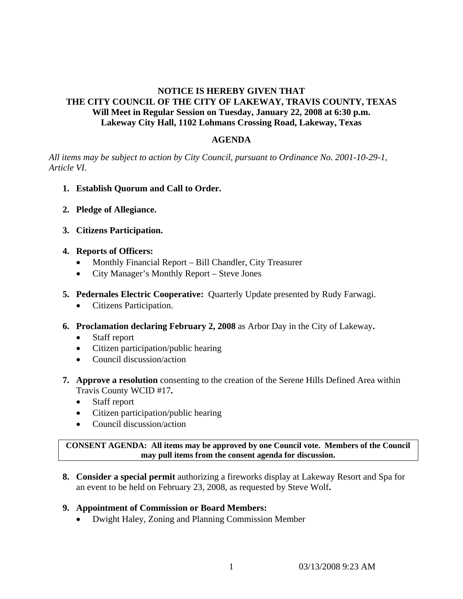# **NOTICE IS HEREBY GIVEN THAT THE CITY COUNCIL OF THE CITY OF LAKEWAY, TRAVIS COUNTY, TEXAS Will Meet in Regular Session on Tuesday, January 22, 2008 at 6:30 p.m. Lakeway City Hall, 1102 Lohmans Crossing Road, Lakeway, Texas**

## **AGENDA**

*All items may be subject to action by City Council, pursuant to Ordinance No. 2001-10-29-1, Article VI.* 

- **1. Establish Quorum and Call to Order.**
- **2. Pledge of Allegiance.**
- **3. Citizens Participation.**

## **4. Reports of Officers:**

- Monthly Financial Report Bill Chandler, City Treasurer
- City Manager's Monthly Report Steve Jones
- **5. Pedernales Electric Cooperative:** Quarterly Update presented by Rudy Farwagi.
	- Citizens Participation.
- **6. Proclamation declaring February 2, 2008** as Arbor Day in the City of Lakeway**.** 
	- Staff report
	- Citizen participation/public hearing
	- Council discussion/action
- **7. Approve a resolution** consenting to the creation of the Serene Hills Defined Area within Travis County WCID #17**.** 
	- Staff report
	- Citizen participation/public hearing
	- Council discussion/action

**CONSENT AGENDA: All items may be approved by one Council vote. Members of the Council may pull items from the consent agenda for discussion.** 

**8. Consider a special permit** authorizing a fireworks display at Lakeway Resort and Spa for an event to be held on February 23, 2008, as requested by Steve Wolf**.** 

## **9. Appointment of Commission or Board Members:**

• Dwight Haley, Zoning and Planning Commission Member